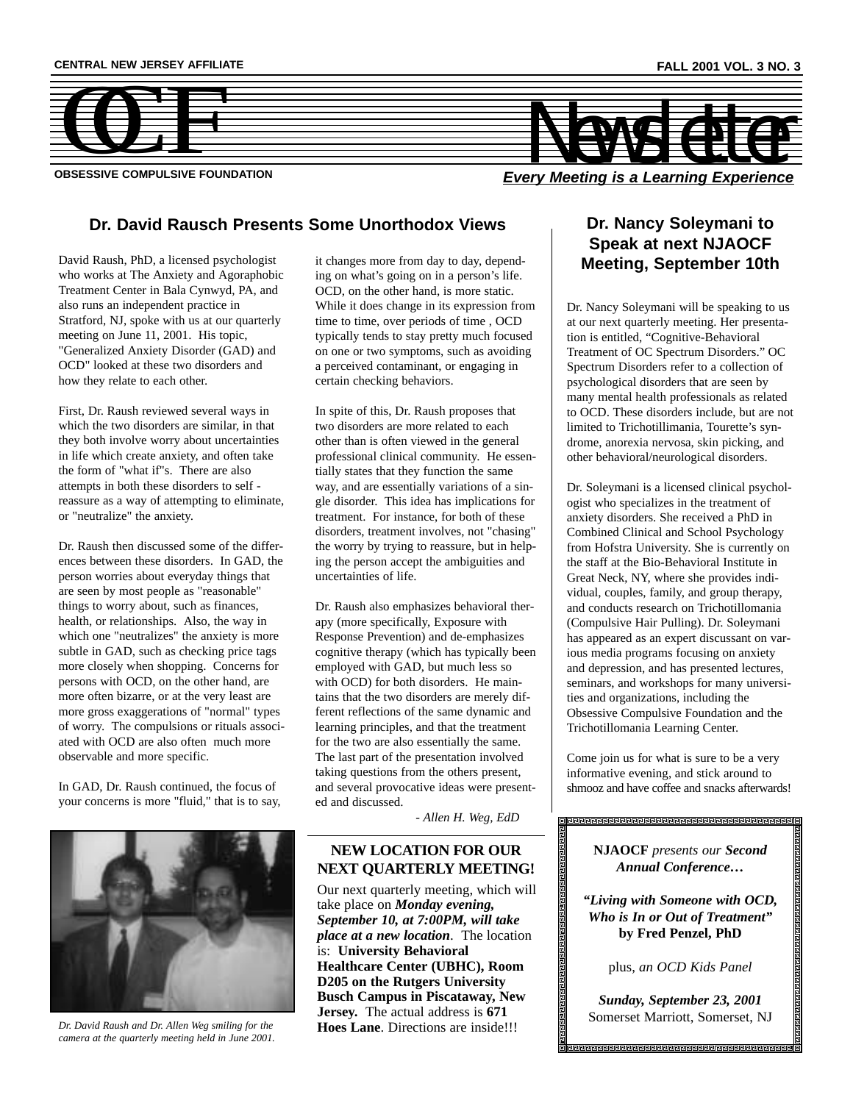

## **Dr. David Rausch Presents Some Unorthodox Views**

David Raush, PhD, a licensed psychologist who works at The Anxiety and Agoraphobic Treatment Center in Bala Cynwyd, PA, and also runs an independent practice in Stratford, NJ, spoke with us at our quarterly meeting on June 11, 2001. His topic, "Generalized Anxiety Disorder (GAD) and OCD" looked at these two disorders and how they relate to each other.

First, Dr. Raush reviewed several ways in which the two disorders are similar, in that they both involve worry about uncertainties in life which create anxiety, and often take the form of "what if"s. There are also attempts in both these disorders to self reassure as a way of attempting to eliminate, or "neutralize" the anxiety.

Dr. Raush then discussed some of the differences between these disorders. In GAD, the person worries about everyday things that are seen by most people as "reasonable" things to worry about, such as finances, health, or relationships. Also, the way in which one "neutralizes" the anxiety is more subtle in GAD, such as checking price tags more closely when shopping. Concerns for persons with OCD, on the other hand, are more often bizarre, or at the very least are more gross exaggerations of "normal" types of worry. The compulsions or rituals associated with OCD are also often much more observable and more specific.

In GAD, Dr. Raush continued, the focus of your concerns is more "fluid," that is to say,



*Dr. David Raush and Dr. Allen Weg smiling for the* **Hoes Lane**. Directions are inside!!! *camera at the quarterly meeting held in June 2001.*

it changes more from day to day, depending on what's going on in a person's life. OCD, on the other hand, is more static. While it does change in its expression from time to time, over periods of time , OCD typically tends to stay pretty much focused on one or two symptoms, such as avoiding a perceived contaminant, or engaging in certain checking behaviors.

In spite of this, Dr. Raush proposes that two disorders are more related to each other than is often viewed in the general professional clinical community. He essentially states that they function the same way, and are essentially variations of a single disorder. This idea has implications for treatment. For instance, for both of these disorders, treatment involves, not "chasing" the worry by trying to reassure, but in helping the person accept the ambiguities and uncertainties of life.

Dr. Raush also emphasizes behavioral therapy (more specifically, Exposure with Response Prevention) and de-emphasizes cognitive therapy (which has typically been employed with GAD, but much less so with OCD) for both disorders. He maintains that the two disorders are merely different reflections of the same dynamic and learning principles, and that the treatment for the two are also essentially the same. The last part of the presentation involved taking questions from the others present, and several provocative ideas were presented and discussed.

*- Allen H. Weg, EdD*

## **NEW LOCATION FOR OUR NEXT QUARTERLY MEETING!**

Our next quarterly meeting, which will take place on *Monday evening, September 10, at 7:00PM, will take place at a new location*. The location is: **University Behavioral Healthcare Center (UBHC), Room D205 on the Rutgers University Busch Campus in Piscataway, New Jersey.** The actual address is **671**

## **Dr. Nancy Soleymani to Speak at next NJAOCF Meeting, September 10th**

Dr. Nancy Soleymani will be speaking to us at our next quarterly meeting. Her presentation is entitled, "Cognitive-Behavioral Treatment of OC Spectrum Disorders." OC Spectrum Disorders refer to a collection of psychological disorders that are seen by many mental health professionals as related to OCD. These disorders include, but are not limited to Trichotillimania, Tourette's syndrome, anorexia nervosa, skin picking, and other behavioral/neurological disorders.

Dr. Soleymani is a licensed clinical psychologist who specializes in the treatment of anxiety disorders. She received a PhD in Combined Clinical and School Psychology from Hofstra University. She is currently on the staff at the Bio-Behavioral Institute in Great Neck, NY, where she provides individual, couples, family, and group therapy, and conducts research on Trichotillomania (Compulsive Hair Pulling). Dr. Soleymani has appeared as an expert discussant on various media programs focusing on anxiety and depression, and has presented lectures, seminars, and workshops for many universities and organizations, including the Obsessive Compulsive Foundation and the Trichotillomania Learning Center.

Come join us for what is sure to be a very informative evening, and stick around to shmooz and have coffee and snacks afterwards!

# 

**NJAOCF** *presents our Second Annual Conference…*

*"Living with Someone with OCD, Who is In or Out of Treatment"* **by Fred Penzel, PhD**

plus, *an OCD Kids Panel*

*Sunday, September 23, 2001* Somerset Marriott, Somerset, NJ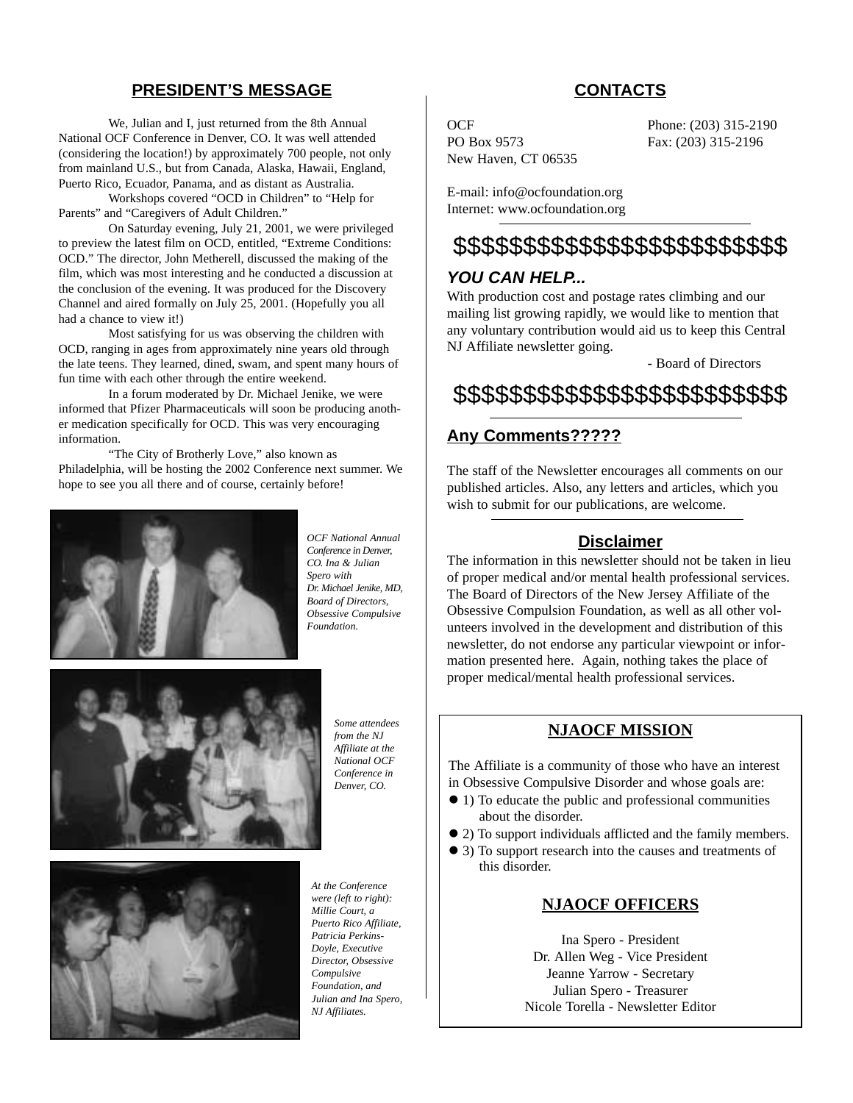## **PRESIDENT'S MESSAGE**

We, Julian and I, just returned from the 8th Annual National OCF Conference in Denver, CO. It was well attended (considering the location!) by approximately 700 people, not only from mainland U.S., but from Canada, Alaska, Hawaii, England, Puerto Rico, Ecuador, Panama, and as distant as Australia.

Workshops covered "OCD in Children" to "Help for Parents" and "Caregivers of Adult Children."

On Saturday evening, July 21, 2001, we were privileged to preview the latest film on OCD, entitled, "Extreme Conditions: OCD." The director, John Metherell, discussed the making of the film, which was most interesting and he conducted a discussion at the conclusion of the evening. It was produced for the Discovery Channel and aired formally on July 25, 2001. (Hopefully you all had a chance to view it!)

Most satisfying for us was observing the children with OCD, ranging in ages from approximately nine years old through the late teens. They learned, dined, swam, and spent many hours of fun time with each other through the entire weekend.

In a forum moderated by Dr. Michael Jenike, we were informed that Pfizer Pharmaceuticals will soon be producing another medication specifically for OCD. This was very encouraging information.

"The City of Brotherly Love," also known as Philadelphia, will be hosting the 2002 Conference next summer. We hope to see you all there and of course, certainly before!



*OCF National Annual Conference in Denver, CO. Ina & Julian Spero with Dr. Michael Jenike, MD, Board of Directors, Obsessive Compulsive Foundation.*



*Some attendees from the NJ Affiliate at the National OCF Conference in Denver, CO.*



*At the Conference were (left to right): Millie Court, a Puerto Rico Affiliate, Patricia Perkins-Doyle, Executive Director, Obsessive Compulsive Foundation, and Julian and Ina Spero, NJ Affiliates.*

## **CONTACTS**

PO Box 9573 Fax: (203) 315-2196 New Haven, CT 06535

OCF Phone: (203) 315-2190

E-mail: info@ocfoundation.org Internet: www.ocfoundation.org

## \$\$\$\$\$\$\$\$\$\$\$\$\$\$\$\$\$\$\$\$\$\$\$\$

## *YOU CAN HELP...*

With production cost and postage rates climbing and our mailing list growing rapidly, we would like to mention that any voluntary contribution would aid us to keep this Central NJ Affiliate newsletter going.

- Board of Directors

\$\$\$\$\$\$\$\$\$\$\$\$\$\$\$\$\$\$\$\$\$\$\$\$

## **Any Comments?????**

The staff of the Newsletter encourages all comments on our published articles. Also, any letters and articles, which you wish to submit for our publications, are welcome.

## **Disclaimer**

The information in this newsletter should not be taken in lieu of proper medical and/or mental health professional services. The Board of Directors of the New Jersey Affiliate of the Obsessive Compulsion Foundation, as well as all other volunteers involved in the development and distribution of this newsletter, do not endorse any particular viewpoint or information presented here. Again, nothing takes the place of proper medical/mental health professional services.

## **NJAOCF MISSION**

The Affiliate is a community of those who have an interest in Obsessive Compulsive Disorder and whose goals are:

- ! 1) To educate the public and professional communities about the disorder.
- ! 2) To support individuals afflicted and the family members.
- ! 3) To support research into the causes and treatments of this disorder.

## **NJAOCF OFFICERS**

Ina Spero - President Dr. Allen Weg - Vice President Jeanne Yarrow - Secretary Julian Spero - Treasurer Nicole Torella - Newsletter Editor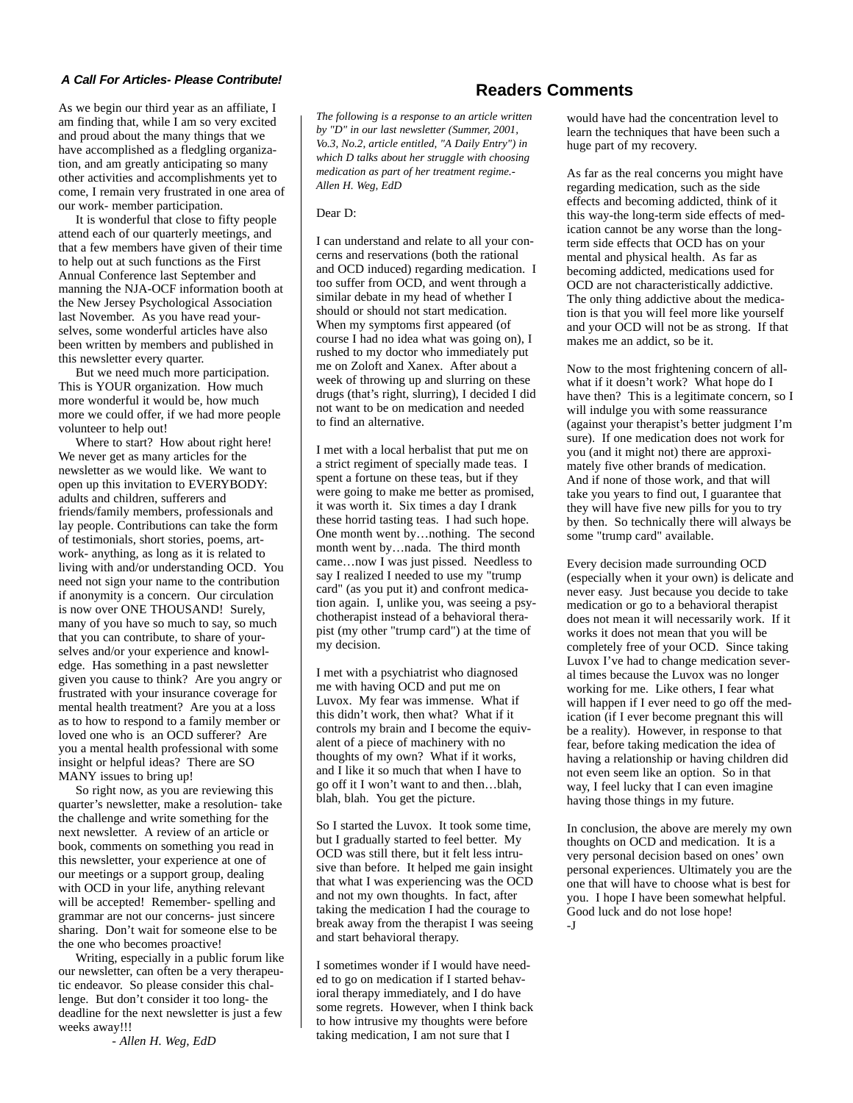#### *A Call For Articles- Please Contribute!*

As we begin our third year as an affiliate, I am finding that, while I am so very excited and proud about the many things that we have accomplished as a fledgling organization, and am greatly anticipating so many other activities and accomplishments yet to come, I remain very frustrated in one area of our work- member participation.

It is wonderful that close to fifty people attend each of our quarterly meetings, and that a few members have given of their time to help out at such functions as the First Annual Conference last September and manning the NJA-OCF information booth at the New Jersey Psychological Association last November. As you have read yourselves, some wonderful articles have also been written by members and published in this newsletter every quarter.

But we need much more participation. This is YOUR organization. How much more wonderful it would be, how much more we could offer, if we had more people volunteer to help out!

Where to start? How about right here! We never get as many articles for the newsletter as we would like. We want to open up this invitation to EVERYBODY: adults and children, sufferers and friends/family members, professionals and lay people. Contributions can take the form of testimonials, short stories, poems, artwork- anything, as long as it is related to living with and/or understanding OCD. You need not sign your name to the contribution if anonymity is a concern. Our circulation is now over ONE THOUSAND! Surely, many of you have so much to say, so much that you can contribute, to share of yourselves and/or your experience and knowledge. Has something in a past newsletter given you cause to think? Are you angry or frustrated with your insurance coverage for mental health treatment? Are you at a loss as to how to respond to a family member or loved one who is an OCD sufferer? Are you a mental health professional with some insight or helpful ideas? There are SO MANY issues to bring up!

So right now, as you are reviewing this quarter's newsletter, make a resolution- take the challenge and write something for the next newsletter. A review of an article or book, comments on something you read in this newsletter, your experience at one of our meetings or a support group, dealing with OCD in your life, anything relevant will be accepted! Remember- spelling and grammar are not our concerns- just sincere sharing. Don't wait for someone else to be the one who becomes proactive!

Writing, especially in a public forum like our newsletter, can often be a very therapeutic endeavor. So please consider this challenge. But don't consider it too long- the deadline for the next newsletter is just a few weeks away!!!

*- Allen H. Weg, EdD*

## **Readers Comments**

*The following is a response to an article written by "D" in our last newsletter (Summer, 2001, Vo.3, No.2, article entitled, "A Daily Entry") in which D talks about her struggle with choosing medication as part of her treatment regime.- Allen H. Weg, EdD*

#### Dear D:

I can understand and relate to all your concerns and reservations (both the rational and OCD induced) regarding medication. I too suffer from OCD, and went through a similar debate in my head of whether I should or should not start medication. When my symptoms first appeared (of course I had no idea what was going on), I rushed to my doctor who immediately put me on Zoloft and Xanex. After about a week of throwing up and slurring on these drugs (that's right, slurring), I decided I did not want to be on medication and needed to find an alternative.

I met with a local herbalist that put me on a strict regiment of specially made teas. I spent a fortune on these teas, but if they were going to make me better as promised, it was worth it. Six times a day I drank these horrid tasting teas. I had such hope. One month went by…nothing. The second month went by…nada. The third month came…now I was just pissed. Needless to say I realized I needed to use my "trump card" (as you put it) and confront medication again. I, unlike you, was seeing a psychotherapist instead of a behavioral therapist (my other "trump card") at the time of my decision.

I met with a psychiatrist who diagnosed me with having OCD and put me on Luvox. My fear was immense. What if this didn't work, then what? What if it controls my brain and I become the equivalent of a piece of machinery with no thoughts of my own? What if it works, and I like it so much that when I have to go off it I won't want to and then…blah, blah, blah. You get the picture.

So I started the Luvox. It took some time, but I gradually started to feel better. My OCD was still there, but it felt less intrusive than before. It helped me gain insight that what I was experiencing was the OCD and not my own thoughts. In fact, after taking the medication I had the courage to break away from the therapist I was seeing and start behavioral therapy.

I sometimes wonder if I would have needed to go on medication if I started behavioral therapy immediately, and I do have some regrets. However, when I think back to how intrusive my thoughts were before taking medication, I am not sure that I

would have had the concentration level to learn the techniques that have been such a huge part of my recovery.

As far as the real concerns you might have regarding medication, such as the side effects and becoming addicted, think of it this way-the long-term side effects of medication cannot be any worse than the longterm side effects that OCD has on your mental and physical health. As far as becoming addicted, medications used for OCD are not characteristically addictive. The only thing addictive about the medication is that you will feel more like yourself and your OCD will not be as strong. If that makes me an addict, so be it.

Now to the most frightening concern of allwhat if it doesn't work? What hope do I have then? This is a legitimate concern, so I will indulge you with some reassurance (against your therapist's better judgment I'm sure). If one medication does not work for you (and it might not) there are approximately five other brands of medication. And if none of those work, and that will take you years to find out, I guarantee that they will have five new pills for you to try by then. So technically there will always be some "trump card" available.

Every decision made surrounding OCD (especially when it your own) is delicate and never easy. Just because you decide to take medication or go to a behavioral therapist does not mean it will necessarily work. If it works it does not mean that you will be completely free of your OCD. Since taking Luvox I've had to change medication several times because the Luvox was no longer working for me. Like others, I fear what will happen if I ever need to go off the medication (if I ever become pregnant this will be a reality). However, in response to that fear, before taking medication the idea of having a relationship or having children did not even seem like an option. So in that way, I feel lucky that I can even imagine having those things in my future.

In conclusion, the above are merely my own thoughts on OCD and medication. It is a very personal decision based on ones' own personal experiences. Ultimately you are the one that will have to choose what is best for you. I hope I have been somewhat helpful. Good luck and do not lose hope!  $-I$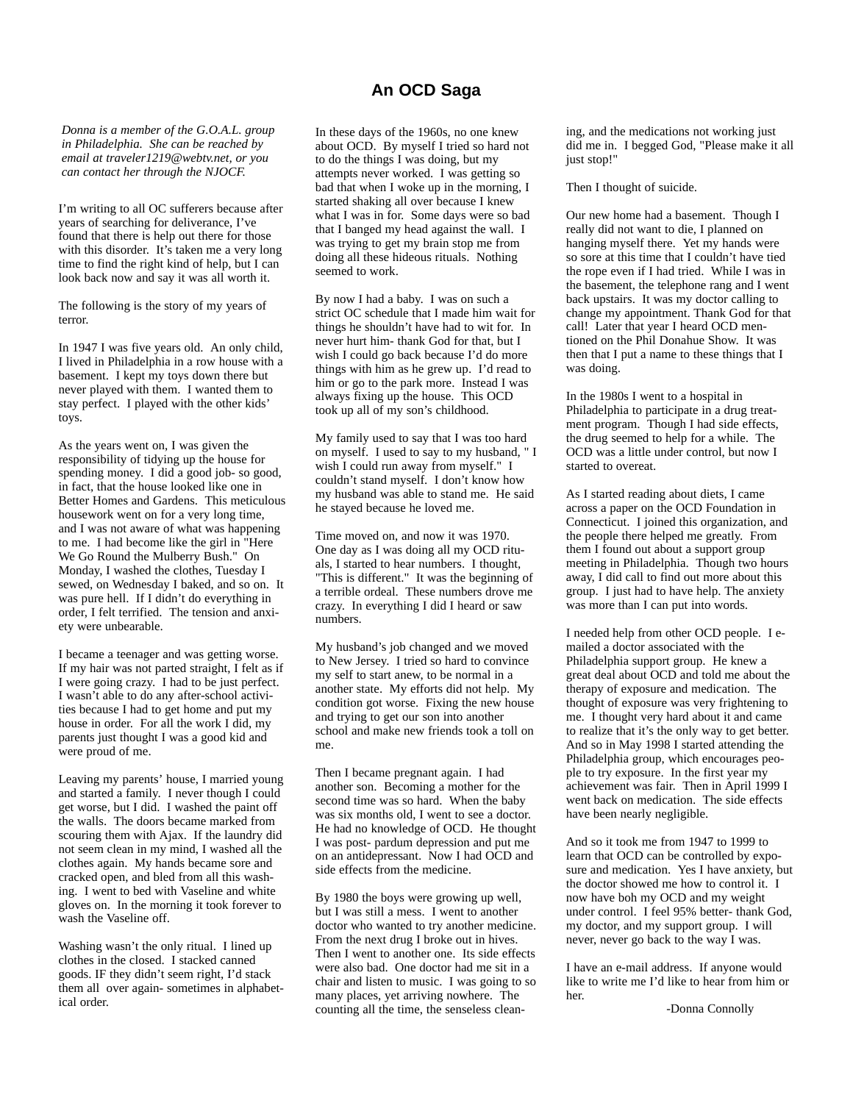## **An OCD Saga**

*Donna is a member of the G.O.A.L. group in Philadelphia. She can be reached by email at traveler1219@webtv.net, or you can contact her through the NJOCF.*

I'm writing to all OC sufferers because after years of searching for deliverance, I've found that there is help out there for those with this disorder. It's taken me a very long time to find the right kind of help, but I can look back now and say it was all worth it.

The following is the story of my years of terror.

In 1947 I was five years old. An only child, I lived in Philadelphia in a row house with a basement. I kept my toys down there but never played with them. I wanted them to stay perfect. I played with the other kids' toys.

As the years went on, I was given the responsibility of tidying up the house for spending money. I did a good job- so good, in fact, that the house looked like one in Better Homes and Gardens. This meticulous housework went on for a very long time, and I was not aware of what was happening to me. I had become like the girl in "Here We Go Round the Mulberry Bush." On Monday, I washed the clothes, Tuesday I sewed, on Wednesday I baked, and so on. It was pure hell. If I didn't do everything in order, I felt terrified. The tension and anxiety were unbearable.

I became a teenager and was getting worse. If my hair was not parted straight, I felt as if I were going crazy. I had to be just perfect. I wasn't able to do any after-school activities because I had to get home and put my house in order. For all the work I did, my parents just thought I was a good kid and were proud of me.

Leaving my parents' house, I married young and started a family. I never though I could get worse, but I did. I washed the paint off the walls. The doors became marked from scouring them with Ajax. If the laundry did not seem clean in my mind, I washed all the clothes again. My hands became sore and cracked open, and bled from all this washing. I went to bed with Vaseline and white gloves on. In the morning it took forever to wash the Vaseline off.

Washing wasn't the only ritual. I lined up clothes in the closed. I stacked canned goods. IF they didn't seem right, I'd stack them all over again- sometimes in alphabetical order.

In these days of the 1960s, no one knew about OCD. By myself I tried so hard not to do the things I was doing, but my attempts never worked. I was getting so bad that when I woke up in the morning, I started shaking all over because I knew what I was in for. Some days were so bad that I banged my head against the wall. I was trying to get my brain stop me from doing all these hideous rituals. Nothing seemed to work.

By now I had a baby. I was on such a strict OC schedule that I made him wait for things he shouldn't have had to wit for. In never hurt him- thank God for that, but I wish I could go back because I'd do more things with him as he grew up. I'd read to him or go to the park more. Instead I was always fixing up the house. This OCD took up all of my son's childhood.

My family used to say that I was too hard on myself. I used to say to my husband, " I wish I could run away from myself." I couldn't stand myself. I don't know how my husband was able to stand me. He said he stayed because he loved me.

Time moved on, and now it was 1970. One day as I was doing all my OCD rituals, I started to hear numbers. I thought, "This is different." It was the beginning of a terrible ordeal. These numbers drove me crazy. In everything I did I heard or saw numbers.

My husband's job changed and we moved to New Jersey. I tried so hard to convince my self to start anew, to be normal in a another state. My efforts did not help. My condition got worse. Fixing the new house and trying to get our son into another school and make new friends took a toll on me.

Then I became pregnant again. I had another son. Becoming a mother for the second time was so hard. When the baby was six months old, I went to see a doctor. He had no knowledge of OCD. He thought I was post- pardum depression and put me on an antidepressant. Now I had OCD and side effects from the medicine.

By 1980 the boys were growing up well, but I was still a mess. I went to another doctor who wanted to try another medicine. From the next drug I broke out in hives. Then I went to another one. Its side effects were also bad. One doctor had me sit in a chair and listen to music. I was going to so many places, yet arriving nowhere. The counting all the time, the senseless cleaning, and the medications not working just did me in. I begged God, "Please make it all just stop!"

Then I thought of suicide.

Our new home had a basement. Though I really did not want to die, I planned on hanging myself there. Yet my hands were so sore at this time that I couldn't have tied the rope even if I had tried. While I was in the basement, the telephone rang and I went back upstairs. It was my doctor calling to change my appointment. Thank God for that call! Later that year I heard OCD mentioned on the Phil Donahue Show. It was then that I put a name to these things that I was doing.

In the 1980s I went to a hospital in Philadelphia to participate in a drug treatment program. Though I had side effects, the drug seemed to help for a while. The OCD was a little under control, but now I started to overeat.

As I started reading about diets, I came across a paper on the OCD Foundation in Connecticut. I joined this organization, and the people there helped me greatly. From them I found out about a support group meeting in Philadelphia. Though two hours away, I did call to find out more about this group. I just had to have help. The anxiety was more than I can put into words.

I needed help from other OCD people. I emailed a doctor associated with the Philadelphia support group. He knew a great deal about OCD and told me about the therapy of exposure and medication. The thought of exposure was very frightening to me. I thought very hard about it and came to realize that it's the only way to get better. And so in May 1998 I started attending the Philadelphia group, which encourages people to try exposure. In the first year my achievement was fair. Then in April 1999 I went back on medication. The side effects have been nearly negligible.

And so it took me from 1947 to 1999 to learn that OCD can be controlled by exposure and medication. Yes I have anxiety, but the doctor showed me how to control it. I now have boh my OCD and my weight under control. I feel 95% better- thank God, my doctor, and my support group. I will never, never go back to the way I was.

I have an e-mail address. If anyone would like to write me I'd like to hear from him or her.

-Donna Connolly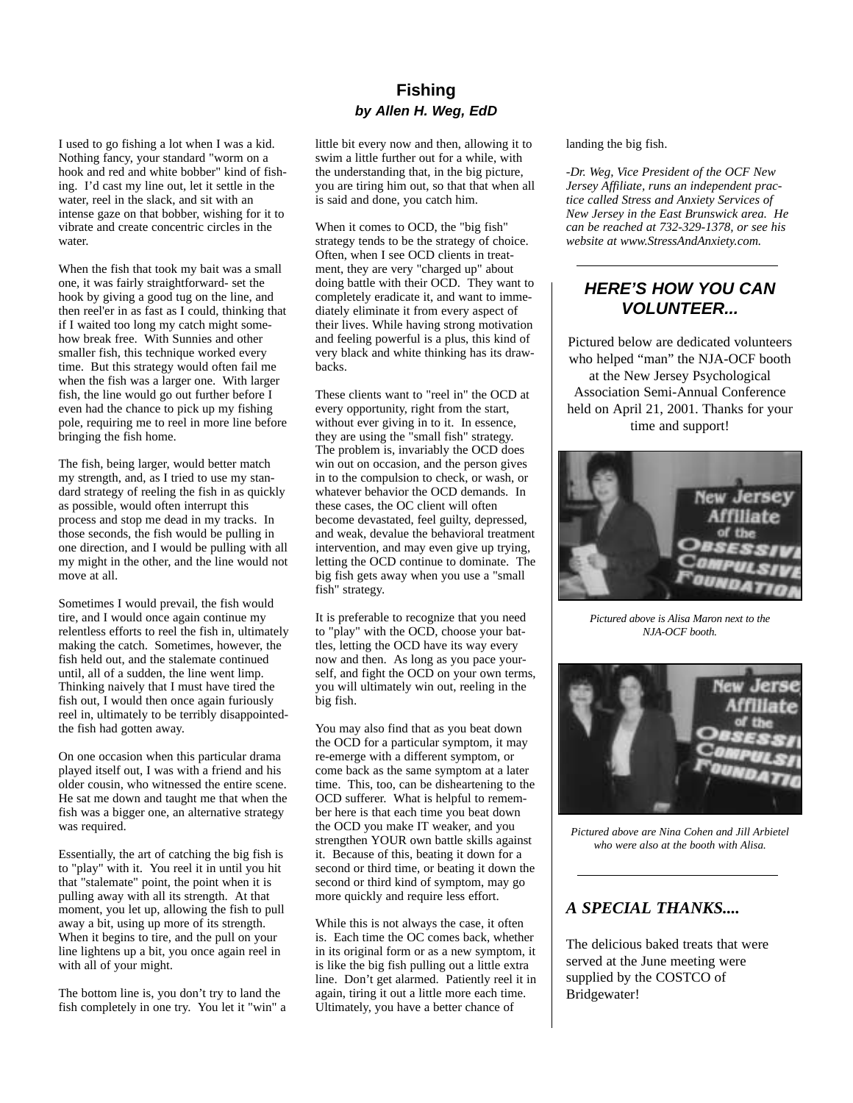## **Fishing** *by Allen H. Weg, EdD*

I used to go fishing a lot when I was a kid. Nothing fancy, your standard "worm on a hook and red and white bobber" kind of fishing. I'd cast my line out, let it settle in the water, reel in the slack, and sit with an intense gaze on that bobber, wishing for it to vibrate and create concentric circles in the water.

When the fish that took my bait was a small one, it was fairly straightforward- set the hook by giving a good tug on the line, and then reel'er in as fast as I could, thinking that if I waited too long my catch might somehow break free. With Sunnies and other smaller fish, this technique worked every time. But this strategy would often fail me when the fish was a larger one. With larger fish, the line would go out further before I even had the chance to pick up my fishing pole, requiring me to reel in more line before bringing the fish home.

The fish, being larger, would better match my strength, and, as I tried to use my standard strategy of reeling the fish in as quickly as possible, would often interrupt this process and stop me dead in my tracks. In those seconds, the fish would be pulling in one direction, and I would be pulling with all my might in the other, and the line would not move at all.

Sometimes I would prevail, the fish would tire, and I would once again continue my relentless efforts to reel the fish in, ultimately making the catch. Sometimes, however, the fish held out, and the stalemate continued until, all of a sudden, the line went limp. Thinking naively that I must have tired the fish out, I would then once again furiously reel in, ultimately to be terribly disappointedthe fish had gotten away.

On one occasion when this particular drama played itself out, I was with a friend and his older cousin, who witnessed the entire scene. He sat me down and taught me that when the fish was a bigger one, an alternative strategy was required.

Essentially, the art of catching the big fish is to "play" with it. You reel it in until you hit that "stalemate" point, the point when it is pulling away with all its strength. At that moment, you let up, allowing the fish to pull away a bit, using up more of its strength. When it begins to tire, and the pull on your line lightens up a bit, you once again reel in with all of your might.

The bottom line is, you don't try to land the fish completely in one try. You let it "win" a little bit every now and then, allowing it to swim a little further out for a while, with the understanding that, in the big picture, you are tiring him out, so that that when all is said and done, you catch him.

When it comes to OCD, the "big fish" strategy tends to be the strategy of choice. Often, when I see OCD clients in treatment, they are very "charged up" about doing battle with their OCD. They want to completely eradicate it, and want to immediately eliminate it from every aspect of their lives. While having strong motivation and feeling powerful is a plus, this kind of very black and white thinking has its drawbacks.

These clients want to "reel in" the OCD at every opportunity, right from the start, without ever giving in to it. In essence, they are using the "small fish" strategy. The problem is, invariably the OCD does win out on occasion, and the person gives in to the compulsion to check, or wash, or whatever behavior the OCD demands. In these cases, the OC client will often become devastated, feel guilty, depressed, and weak, devalue the behavioral treatment intervention, and may even give up trying, letting the OCD continue to dominate. The big fish gets away when you use a "small fish" strategy.

It is preferable to recognize that you need to "play" with the OCD, choose your battles, letting the OCD have its way every now and then. As long as you pace yourself, and fight the OCD on your own terms, you will ultimately win out, reeling in the big fish.

You may also find that as you beat down the OCD for a particular symptom, it may re-emerge with a different symptom, or come back as the same symptom at a later time. This, too, can be disheartening to the OCD sufferer. What is helpful to remember here is that each time you beat down the OCD you make IT weaker, and you strengthen YOUR own battle skills against it. Because of this, beating it down for a second or third time, or beating it down the second or third kind of symptom, may go more quickly and require less effort.

While this is not always the case, it often is. Each time the OC comes back, whether in its original form or as a new symptom, it is like the big fish pulling out a little extra line. Don't get alarmed. Patiently reel it in again, tiring it out a little more each time. Ultimately, you have a better chance of

landing the big fish.

*-Dr. Weg, Vice President of the OCF New Jersey Affiliate, runs an independent practice called Stress and Anxiety Services of New Jersey in the East Brunswick area. He can be reached at 732-329-1378, or see his website at www.StressAndAnxiety.com.*

## *HERE'S HOW YOU CAN VOLUNTEER...*

Pictured below are dedicated volunteers who helped "man" the NJA-OCF booth at the New Jersey Psychological Association Semi-Annual Conference held on April 21, 2001. Thanks for your time and support!



*Pictured above is Alisa Maron next to the NJA-OCF booth.*



*Pictured above are Nina Cohen and Jill Arbietel who were also at the booth with Alisa.*

## *A SPECIAL THANKS....*

The delicious baked treats that were served at the June meeting were supplied by the COSTCO of Bridgewater!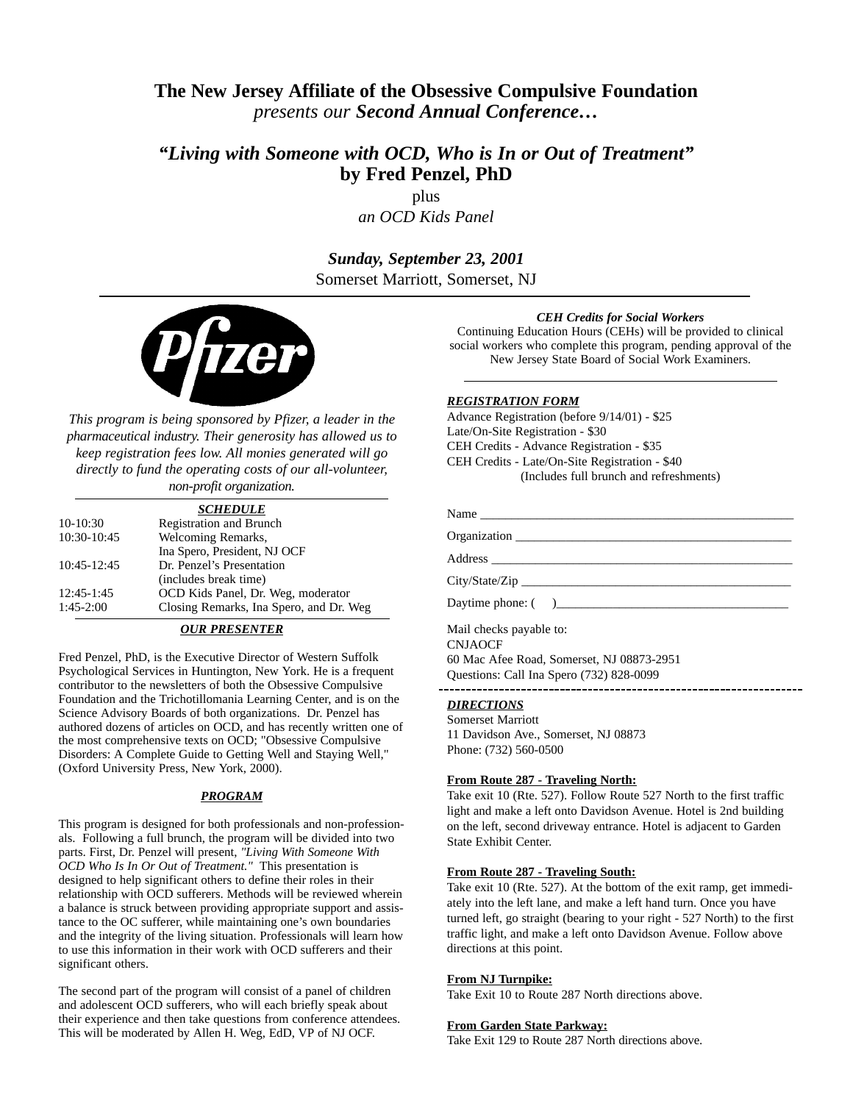## **The New Jersey Affiliate of the Obsessive Compulsive Foundation**  *presents our Second Annual Conference…*

## *"Living with Someone with OCD, Who is In or Out of Treatment"* **by Fred Penzel, PhD**

plus *an OCD Kids Panel*

*Sunday, September 23, 2001* Somerset Marriott, Somerset, NJ



*This program is being sponsored by Pfizer, a leader in the pharmaceutical industry. Their generosity has allowed us to keep registration fees low. All monies generated will go directly to fund the operating costs of our all-volunteer, non-profit organization.*

*SCHEDULE* 10-10:30 Registration and Brunch 10:30-10:45 Welcoming Remarks, Ina Spero, President, NJ OCF 10:45-12:45 Dr. Penzel's Presentation (includes break time) 12:45-1:45 **OCD Kids Panel, Dr. Weg, moderator** 1:45-2:00 **Closing Remarks, Ina Spero, and Dr.** V

## Closing Remarks, Ina Spero, and Dr. Weg

### *OUR PRESENTER*

Fred Penzel, PhD, is the Executive Director of Western Suffolk Psychological Services in Huntington, New York. He is a frequent contributor to the newsletters of both the Obsessive Compulsive Foundation and the Trichotillomania Learning Center, and is on the Science Advisory Boards of both organizations. Dr. Penzel has authored dozens of articles on OCD, and has recently written one of the most comprehensive texts on OCD; "Obsessive Compulsive Disorders: A Complete Guide to Getting Well and Staying Well," (Oxford University Press, New York, 2000).

#### *PROGRAM*

This program is designed for both professionals and non-professionals. Following a full brunch, the program will be divided into two parts. First, Dr. Penzel will present, *"Living With Someone With OCD Who Is In Or Out of Treatment."* This presentation is designed to help significant others to define their roles in their relationship with OCD sufferers. Methods will be reviewed wherein a balance is struck between providing appropriate support and assistance to the OC sufferer, while maintaining one's own boundaries and the integrity of the living situation. Professionals will learn how to use this information in their work with OCD sufferers and their significant others.

The second part of the program will consist of a panel of children and adolescent OCD sufferers, who will each briefly speak about their experience and then take questions from conference attendees. This will be moderated by Allen H. Weg, EdD, VP of NJ OCF.

#### *CEH Credits for Social Workers*

Continuing Education Hours (CEHs) will be provided to clinical social workers who complete this program, pending approval of the New Jersey State Board of Social Work Examiners.

#### *REGISTRATION FORM*

Advance Registration (before 9/14/01) - \$25 Late/On-Site Registration - \$30 CEH Credits - Advance Registration - \$35 CEH Credits - Late/On-Site Registration - \$40 (Includes full brunch and refreshments)

| Name           |              |  |
|----------------|--------------|--|
|                | Organization |  |
|                |              |  |
| City/State/Zip |              |  |

Daytime phone: (

Mail checks payable to: CNJAOCF 60 Mac Afee Road, Somerset, NJ 08873-2951 Questions: Call Ina Spero (732) 828-0099

#### *DIRECTIONS*

Somerset Marriott 11 Davidson Ave., Somerset, NJ 08873 Phone: (732) 560-0500

#### **From Route 287 - Traveling North:**

Take exit 10 (Rte. 527). Follow Route 527 North to the first traffic light and make a left onto Davidson Avenue. Hotel is 2nd building on the left, second driveway entrance. Hotel is adjacent to Garden State Exhibit Center.

### **From Route 287 - Traveling South:**

Take exit 10 (Rte. 527). At the bottom of the exit ramp, get immediately into the left lane, and make a left hand turn. Once you have turned left, go straight (bearing to your right - 527 North) to the first traffic light, and make a left onto Davidson Avenue. Follow above directions at this point.

#### **From NJ Turnpike:**

Take Exit 10 to Route 287 North directions above.

#### **From Garden State Parkway:**

Take Exit 129 to Route 287 North directions above.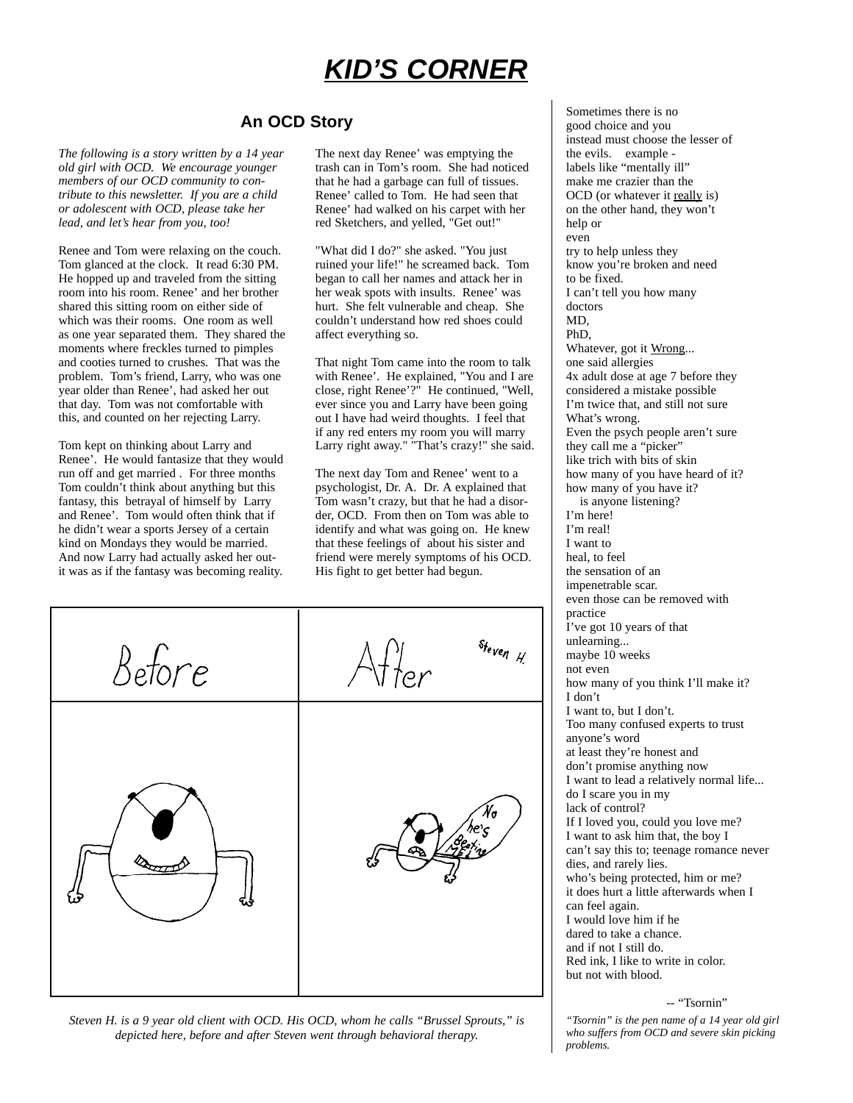# *KID'S CORNER*

## **An OCD Story**

*The following is a story written by a 14 year old girl with OCD. We encourage younger members of our OCD community to contribute to this newsletter. If you are a child or adolescent with OCD, please take her lead, and let's hear from you, too!*

Renee and Tom were relaxing on the couch. Tom glanced at the clock. It read 6:30 PM. He hopped up and traveled from the sitting room into his room. Renee' and her brother shared this sitting room on either side of which was their rooms. One room as well as one year separated them. They shared the moments where freckles turned to pimples and cooties turned to crushes. That was the problem. Tom's friend, Larry, who was one year older than Renee', had asked her out that day. Tom was not comfortable with this, and counted on her rejecting Larry.

Tom kept on thinking about Larry and Renee'. He would fantasize that they would run off and get married . For three months Tom couldn't think about anything but this fantasy, this betrayal of himself by Larry and Renee'. Tom would often think that if he didn't wear a sports Jersey of a certain kind on Mondays they would be married. And now Larry had actually asked her outit was as if the fantasy was becoming reality.

The next day Renee' was emptying the trash can in Tom's room. She had noticed that he had a garbage can full of tissues. Renee' called to Tom. He had seen that Renee' had walked on his carpet with her red Sketchers, and yelled, "Get out!"

"What did I do?" she asked. "You just ruined your life!" he screamed back. Tom began to call her names and attack her in her weak spots with insults. Renee' was hurt. She felt vulnerable and cheap. She couldn't understand how red shoes could affect everything so.

That night Tom came into the room to talk with Renee'. He explained, "You and I are close, right Renee'?" He continued, "Well, ever since you and Larry have been going out I have had weird thoughts. I feel that if any red enters my room you will marry Larry right away." "That's crazy!" she said.

The next day Tom and Renee' went to a psychologist, Dr. A. Dr. A explained that Tom wasn't crazy, but that he had a disorder, OCD. From then on Tom was able to identify and what was going on. He knew that these feelings of about his sister and friend were merely symptoms of his OCD. His fight to get better had begun.

 $s_{f_{even}}$ Betore

*Steven H. is a 9 year old client with OCD. His OCD, whom he calls "Brussel Sprouts," is depicted here, before and after Steven went through behavioral therapy.*

Sometimes there is no good choice and you instead must choose the lesser of the evils. example labels like "mentally ill" make me crazier than the OCD (or whatever it really is) on the other hand, they won't help or even try to help unless they know you're broken and need to be fixed. I can't tell you how many doctors MD, PhD, Whatever, got it Wrong... one said allergies 4x adult dose at age 7 before they considered a mistake possible I'm twice that, and still not sure What's wrong. Even the psych people aren't sure they call me a "picker" like trich with bits of skin how many of you have heard of it? how many of you have it? is anyone listening? I'm here! I'm real! I want to heal, to feel the sensation of an impenetrable scar. even those can be removed with practice I've got 10 years of that unlearning... maybe 10 weeks not even how many of you think I'll make it? I don't I want to, but I don't. Too many confused experts to trust anyone's word at least they're honest and don't promise anything now I want to lead a relatively normal life... do I scare you in my lack of control? If I loved you, could you love me? I want to ask him that, the boy I can't say this to; teenage romance never dies, and rarely lies. who's being protected, him or me? it does hurt a little afterwards when I can feel again. I would love him if he dared to take a chance. and if not I still do. Red ink, I like to write in color. but not with blood.

-- "Tsornin"

*"Tsornin" is the pen name of a 14 year old girl who suffers from OCD and severe skin picking problems.*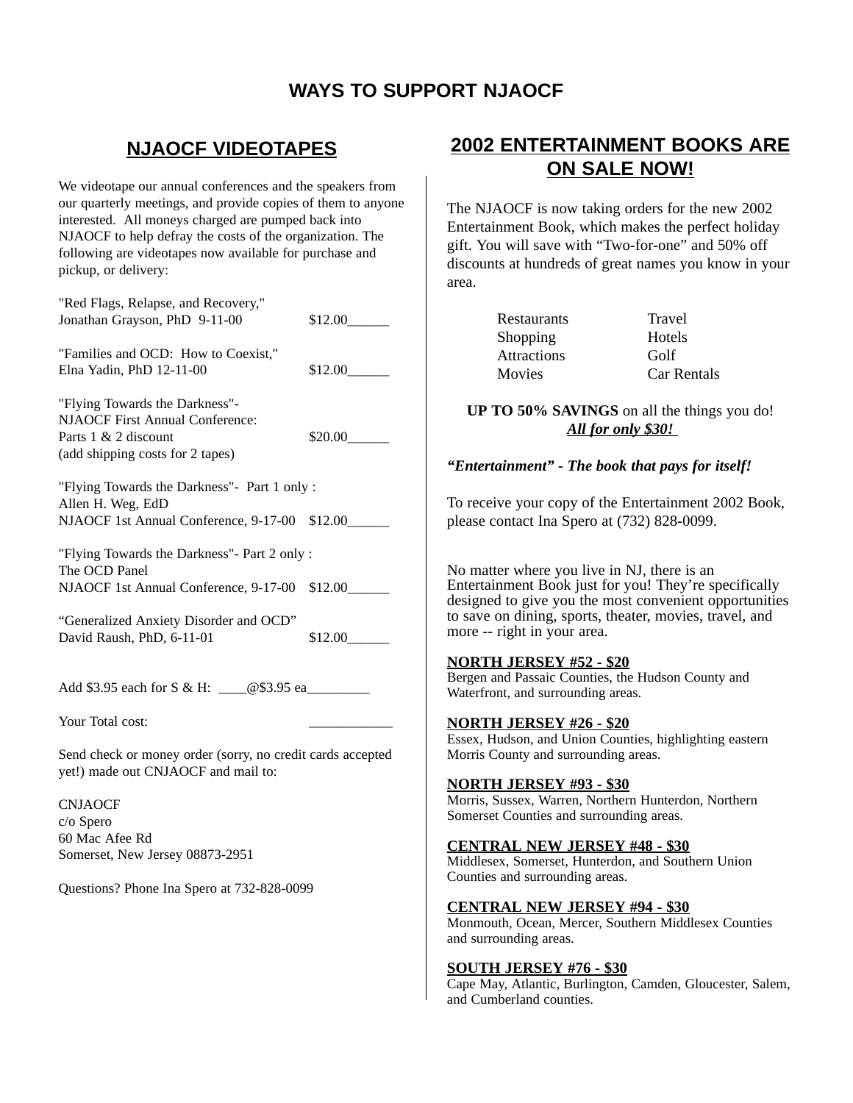## **WAYS TO SUPPORT NJAOCF**

## **NJAOCF VIDEOTAPES**

We videotape our annual conferences and the speakers from our quarterly meetings, and provide copies of them to anyone interested. All moneys charged are pumped back into NJAOCF to help defray the costs of the organization. The following are videotapes now available for purchase and pickup, or delivery:

"Red Flags, Relapse, and Recovery," Jonathan Grayson, PhD 9-11-00 \$12.00

"Families and OCD: How to Coexist," Elna Yadin, PhD 12-11-00 \$12.00

"Flying Towards the Darkness"- NJAOCF First Annual Conference: Parts  $1 \& 2$  discount \$20.00 (add shipping costs for 2 tapes)

"Flying Towards the Darkness"- Part 1 only : Allen H. Weg, EdD NJAOCF 1st Annual Conference, 9-17-00 \$12.00

"Flying Towards the Darkness"- Part 2 only : The OCD Panel NJAOCF 1st Annual Conference, 9-17-00 \$12.00

"Generalized Anxiety Disorder and OCD" David Raush, PhD, 6-11-01 \$12.00

Add \$3.95 each for S & H: \_\_\_\_@\$3.95 ea\_\_\_\_\_\_\_\_\_

Your Total cost:

Send check or money order (sorry, no credit cards accepted yet!) made out CNJAOCF and mail to:

CNJAOCF c/o Spero 60 Mac Afee Rd Somerset, New Jersey 08873-2951

Questions? Phone Ina Spero at 732-828-0099

## **2002 ENTERTAINMENT BOOKS ARE ON SALE NOW!**

The NJAOCF is now taking orders for the new 2002 Entertainment Book, which makes the perfect holiday gift. You will save with "Two-for-one" and 50% off discounts at hundreds of great names you know in your area.

| Travel      |
|-------------|
| Hotels      |
| Golf        |
| Car Rentals |
|             |

**UP TO 50% SAVINGS** on all the things you do! *All for only \$30!* 

## *"Entertainment" - The book that pays for itself!*

To receive your copy of the Entertainment 2002 Book, please contact Ina Spero at (732) 828-0099.

No matter where you live in NJ, there is an Entertainment Book just for you! They're specifically designed to give you the most convenient opportunities to save on dining, sports, theater, movies, travel, and more -- right in your area.

## **NORTH JERSEY #52 - \$20**

Bergen and Passaic Counties, the Hudson County and Waterfront, and surrounding areas.

## **NORTH JERSEY #26 - \$20**

Essex, Hudson, and Union Counties, highlighting eastern Morris County and surrounding areas.

## **NORTH JERSEY #93 - \$30**

Morris, Sussex, Warren, Northern Hunterdon, Northern Somerset Counties and surrounding areas.

## **CENTRAL NEW JERSEY #48 - \$30**

Middlesex, Somerset, Hunterdon, and Southern Union Counties and surrounding areas.

## **CENTRAL NEW JERSEY #94 - \$30**

Monmouth, Ocean, Mercer, Southern Middlesex Counties and surrounding areas.

## **SOUTH JERSEY #76 - \$30**

Cape May, Atlantic, Burlington, Camden, Gloucester, Salem, and Cumberland counties.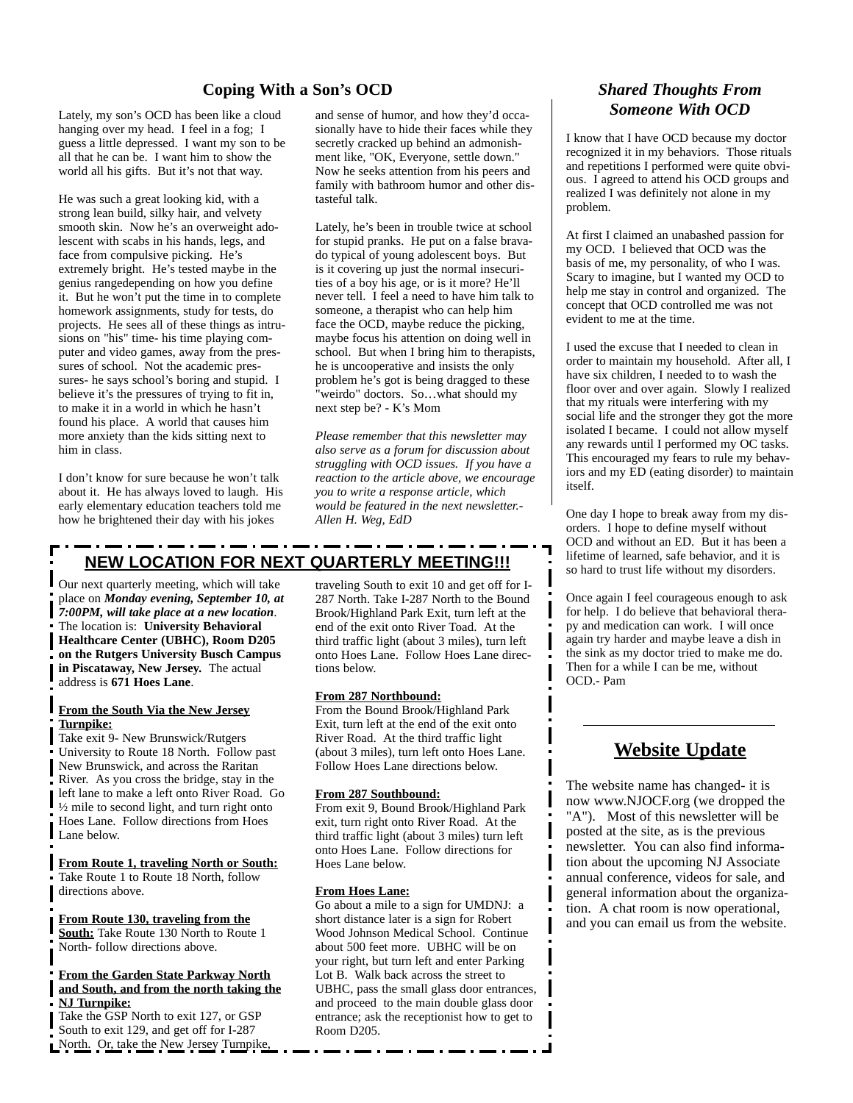## **Coping With a Son's OCD** *Shared Thoughts From*

Lately, my son's OCD has been like a cloud hanging over my head. I feel in a fog; I guess a little depressed. I want my son to be all that he can be. I want him to show the world all his gifts. But it's not that way.

He was such a great looking kid, with a strong lean build, silky hair, and velvety smooth skin. Now he's an overweight adolescent with scabs in his hands, legs, and face from compulsive picking. He's extremely bright. He's tested maybe in the genius rangedepending on how you define it. But he won't put the time in to complete homework assignments, study for tests, do projects. He sees all of these things as intrusions on "his" time- his time playing computer and video games, away from the pressures of school. Not the academic pressures- he says school's boring and stupid. I believe it's the pressures of trying to fit in, to make it in a world in which he hasn't found his place. A world that causes him more anxiety than the kids sitting next to him in class.

I don't know for sure because he won't talk about it. He has always loved to laugh. His early elementary education teachers told me how he brightened their day with his jokes

and sense of humor, and how they'd occa- **Someone With OCD** sionally have to hide their faces while they secretly cracked up behind an admonishment like, "OK, Everyone, settle down." Now he seeks attention from his peers and family with bathroom humor and other distasteful talk.

Lately, he's been in trouble twice at school for stupid pranks. He put on a false bravado typical of young adolescent boys. But is it covering up just the normal insecurities of a boy his age, or is it more? He'll never tell. I feel a need to have him talk to someone, a therapist who can help him face the OCD, maybe reduce the picking, maybe focus his attention on doing well in school. But when I bring him to therapists, he is uncooperative and insists the only problem he's got is being dragged to these "weirdo" doctors. So…what should my next step be? - K's Mom

*Please remember that this newsletter may also serve as a forum for discussion about struggling with OCD issues. If you have a reaction to the article above, we encourage you to write a response article, which would be featured in the next newsletter.- Allen H. Weg, EdD*

## **NEW LOCATION FOR NEXT QUARTERLY MEETING!!!**

Our next quarterly meeting, which will take place on *Monday evening, September 10, at 7:00PM, will take place at a new location*. The location is: **University Behavioral Healthcare Center (UBHC), Room D205 on the Rutgers University Busch Campus in Piscataway, New Jersey.** The actual address is **671 Hoes Lane**.

#### **From the South Via the New Jersey Turnpike:**

Take exit 9- New Brunswick/Rutgers University to Route 18 North. Follow past New Brunswick, and across the Raritan River. As you cross the bridge, stay in the left lane to make a left onto River Road. Go  $\frac{1}{2}$  mile to second light, and turn right onto Hoes Lane. Follow directions from Hoes Lane below.

**From Route 1, traveling North or South:** Take Route 1 to Route 18 North, follow directions above.

**From Route 130, traveling from the South:** Take Route 130 North to Route 1 North- follow directions above.

#### **From the Garden State Parkway North and South, and from the north taking the NJ Turnpike:**

Take the GSP North to exit 127, or GSP South to exit 129, and get off for I-287 North. Or, take the New Jersey Turnpike, traveling South to exit 10 and get off for I-287 North. Take I-287 North to the Bound Brook/Highland Park Exit, turn left at the end of the exit onto River Toad. At the third traffic light (about 3 miles), turn left onto Hoes Lane. Follow Hoes Lane directions below.

#### **From 287 Northbound:**

From the Bound Brook/Highland Park Exit, turn left at the end of the exit onto River Road. At the third traffic light (about 3 miles), turn left onto Hoes Lane. Follow Hoes Lane directions below.

#### **From 287 Southbound:**

From exit 9, Bound Brook/Highland Park exit, turn right onto River Road. At the third traffic light (about 3 miles) turn left onto Hoes Lane. Follow directions for Hoes Lane below.

#### **From Hoes Lane:**

Go about a mile to a sign for UMDNJ: a short distance later is a sign for Robert Wood Johnson Medical School. Continue about 500 feet more. UBHC will be on your right, but turn left and enter Parking Lot B. Walk back across the street to UBHC, pass the small glass door entrances, and proceed to the main double glass door entrance; ask the receptionist how to get to Room D205.

I know that I have OCD because my doctor recognized it in my behaviors. Those rituals and repetitions I performed were quite obvious. I agreed to attend his OCD groups and realized I was definitely not alone in my problem.

At first I claimed an unabashed passion for my OCD. I believed that OCD was the basis of me, my personality, of who I was. Scary to imagine, but I wanted my OCD to help me stay in control and organized. The concept that OCD controlled me was not evident to me at the time.

I used the excuse that I needed to clean in order to maintain my household. After all, I have six children, I needed to to wash the floor over and over again. Slowly I realized that my rituals were interfering with my social life and the stronger they got the more isolated I became. I could not allow myself any rewards until I performed my OC tasks. This encouraged my fears to rule my behaviors and my ED (eating disorder) to maintain itself.

One day I hope to break away from my disorders. I hope to define myself without OCD and without an ED. But it has been a lifetime of learned, safe behavior, and it is so hard to trust life without my disorders.

Once again I feel courageous enough to ask for help. I do believe that behavioral therapy and medication can work. I will once again try harder and maybe leave a dish in the sink as my doctor tried to make me do. Then for a while I can be me, without OCD.- Pam

## **Website Update**

The website name has changed- it is now www.NJOCF.org (we dropped the "A"). Most of this newsletter will be posted at the site, as is the previous newsletter. You can also find information about the upcoming NJ Associate annual conference, videos for sale, and general information about the organization. A chat room is now operational, and you can email us from the website.